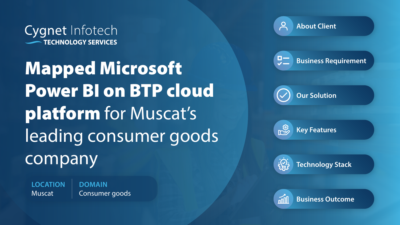Cygnet Infotech **TECHNOLOGY SERVICES** 

Mapped Microsoft Power BI on BTP cloud platform for Muscat's leading consumer goods company

**LOCATION** Muscat

**DOMAIN** Consumer goods **About Client**

**Business Requirement**





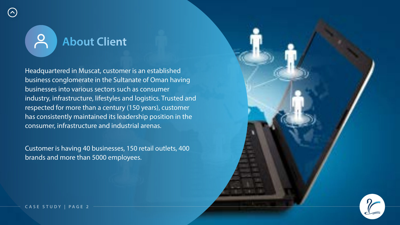

Headquartered in Muscat, customer is an established business conglomerate in the Sultanate of Oman having businesses into various sectors such as consumer industry, infrastructure, lifestyles and logistics. Trusted and respected for more than a century (150 years), customer has consistently maintained its leadership position in the consumer, infrastructure and industrial arenas.

Customer is having 40 businesses, 150 retail outlets, 400 brands and more than 5000 employees.



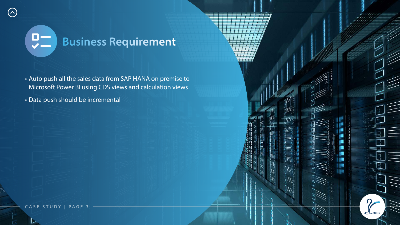

#### $\frac{1}{2}$ **Business Requirement**

- Auto push all the sales data from SAP HANA on premise to Microsoft Power BI using CDS views and calculation views
- Data push should be incremental

 $(\wedge)$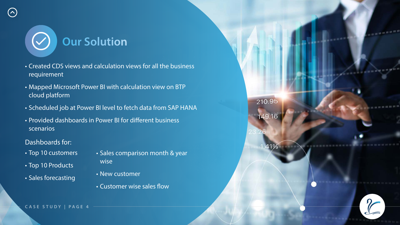**CASE STUDY | PAGE 4**





# **Our Solution**

- Created CDS views and calculation views for all the business requirement
- Mapped Microsoft Power BI with calculation view on BTP cloud platform
- Scheduled job at Power BI level to fetch data from SAP HANA
- Provided dashboards in Power BI for different business scenarios
- Dashboards for:

 $(\wedge)$ 

- Top 10 customers
- Top 10 Products
- Sales forecasting
- Sales comparison month & year wise
- New customer
- Customer wise sales flow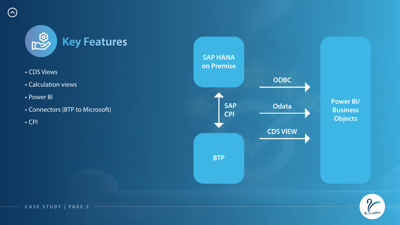#### **CASE STUDY | PAGE 5**



- CDS Views
- Calculation views
- 
- Power BI Connectors (BTP to Microsoft)
- CPI

 $\odot$ 





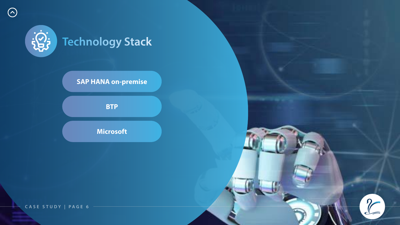**CASE STUDY | PAGE 6**





 $\odot$ 

#### **SAP HANA on-premise**

**Microsoft**

**BTP**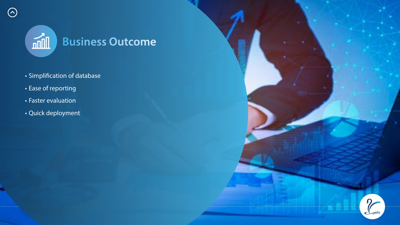

### **Business Outcome**

- Simplification of database
- Ease of reporting
- Faster evaluation
- Quick deployment